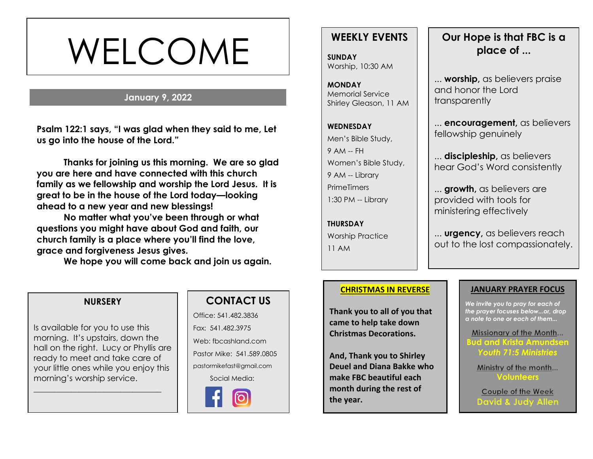# WELCOME

### **January 9, 2022**

**Psalm 122:1 says, "I was glad when they said to me, Let us go into the house of the Lord."**

**Thanks for joining us this morning. We are so glad you are here and have connected with this church family as we fellowship and worship the Lord Jesus. It is great to be in the house of the Lord today—looking ahead to a new year and new blessings!** 

**No matter what you've been through or what questions you might have about God and faith, our church family is a place where you'll find the love, grace and forgiveness Jesus gives.**

**We hope you will come back and join us again.**

# **WEEKLY EVENTS**

**SUNDAY** Worship, 10:30 AM

**MONDAY** Memorial Service Shirley Gleason, 11 AM 

# **WEDNESDAY** Men's Bible Study, 9 AM -- FH Women's Bible Study, 9 AM -- Library **PrimeTimers** 1:30 PM -- Library

**THURSDAY** Worship Practice 11 AM

# **Our Hope is that FBC is a place of ...**

... **worship,** as believers praise and honor the Lord **transparently** 

... **encouragement,** as believers fellowship genuinely

... **discipleship,** as believers hear God's Word consistently

... **growth,** as believers are provided with tools for ministering effectively

... **urgency,** as believers reach out to the lost compassionately.

# **<u>CHRISTMAS IN REVERSE</u>**

**Thank you to all of you that came to help take down Christmas Decorations.** 

**And, Thank you to Shirley Deuel and Diana Bakke who make FBC beautiful each month during the rest of the year.**

#### **JANUARY PRAYER FOCUS**

*We invite you to pray for each of the prayer focuses below...or, drop a note to one or each of them...*

Missionary of the Month... **Bud and Krista Amundsen** *Youth 71:5 Ministries*

**Volunteers**

Couple of the Week **David & Judy Allen** 

#### **NURSERY**

Is available for you to use this morning. It's upstairs, down the hall on the right. Lucy or Phyllis are ready to meet and take care of your little ones while you enjoy this morning's worship service.

\_\_\_\_\_\_\_\_\_\_\_\_\_\_\_\_\_\_\_\_\_\_\_\_\_\_\_\_\_\_\_



Office: 541.482.3836 Fax: 541.482.3975 Web: fbcashland.com Pastor Mike: 541.589.0805 pastormikefast@gmail.com Social Media: